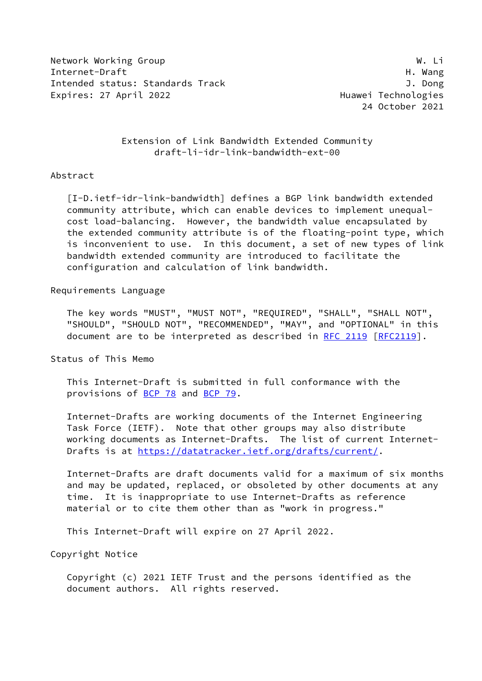Network Working Group Website Channels and Website Channels and Website Channels and Website Channels and Website Channels and Website Channels and Website Channels and Website Channels and Website Channels and Website Cha Internet-Draft H. Wang Intended status: Standards Track J. Dong Expires: 27 April 2022 **Expires: 27 April 2022** 

24 October 2021

## Extension of Link Bandwidth Extended Community draft-li-idr-link-bandwidth-ext-00

### Abstract

<span id="page-0-0"></span> [I-D.ietf-idr-link-bandwidth] defines a BGP link bandwidth extended community attribute, which can enable devices to implement unequal cost load-balancing. However, the bandwidth value encapsulated by the extended community attribute is of the floating-point type, which is inconvenient to use. In this document, a set of new types of link bandwidth extended community are introduced to facilitate the configuration and calculation of link bandwidth.

Requirements Language

 The key words "MUST", "MUST NOT", "REQUIRED", "SHALL", "SHALL NOT", "SHOULD", "SHOULD NOT", "RECOMMENDED", "MAY", and "OPTIONAL" in this document are to be interpreted as described in [RFC 2119 \[RFC2119](https://datatracker.ietf.org/doc/pdf/rfc2119)].

Status of This Memo

 This Internet-Draft is submitted in full conformance with the provisions of [BCP 78](https://datatracker.ietf.org/doc/pdf/bcp78) and [BCP 79](https://datatracker.ietf.org/doc/pdf/bcp79).

 Internet-Drafts are working documents of the Internet Engineering Task Force (IETF). Note that other groups may also distribute working documents as Internet-Drafts. The list of current Internet- Drafts is at<https://datatracker.ietf.org/drafts/current/>.

 Internet-Drafts are draft documents valid for a maximum of six months and may be updated, replaced, or obsoleted by other documents at any time. It is inappropriate to use Internet-Drafts as reference material or to cite them other than as "work in progress."

This Internet-Draft will expire on 27 April 2022.

Copyright Notice

 Copyright (c) 2021 IETF Trust and the persons identified as the document authors. All rights reserved.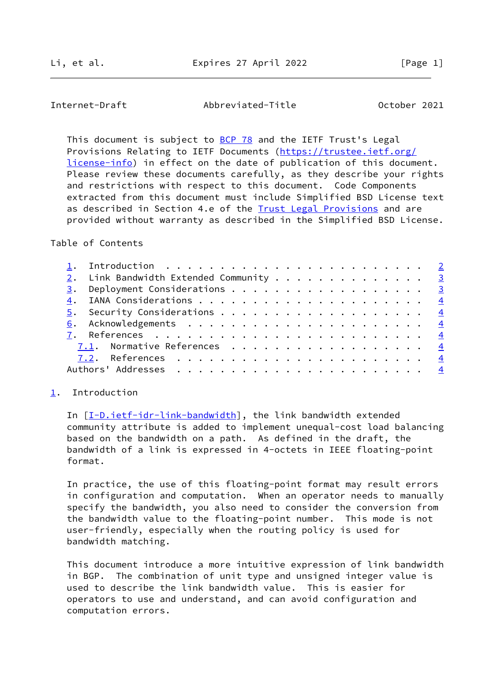<span id="page-1-1"></span>Internet-Draft Abbreviated-Title October 2021

This document is subject to [BCP 78](https://datatracker.ietf.org/doc/pdf/bcp78) and the IETF Trust's Legal Provisions Relating to IETF Documents ([https://trustee.ietf.org/](https://trustee.ietf.org/license-info) [license-info](https://trustee.ietf.org/license-info)) in effect on the date of publication of this document. Please review these documents carefully, as they describe your rights and restrictions with respect to this document. Code Components extracted from this document must include Simplified BSD License text as described in Section 4.e of the **[Trust Legal Provisions](https://trustee.ietf.org/license-info)** and are provided without warranty as described in the Simplified BSD License.

Table of Contents

|  | 2. Link Bandwidth Extended Community 3 |  |
|--|----------------------------------------|--|
|  | 3. Deployment Considerations 3         |  |
|  |                                        |  |
|  |                                        |  |
|  |                                        |  |
|  |                                        |  |
|  | 7.1. Normative References 4            |  |
|  |                                        |  |
|  |                                        |  |

## <span id="page-1-0"></span>[1](#page-1-0). Introduction

 In [[I-D.ietf-idr-link-bandwidth\]](#page-0-0), the link bandwidth extended community attribute is added to implement unequal-cost load balancing based on the bandwidth on a path. As defined in the draft, the bandwidth of a link is expressed in 4-octets in IEEE floating-point format.

 In practice, the use of this floating-point format may result errors in configuration and computation. When an operator needs to manually specify the bandwidth, you also need to consider the conversion from the bandwidth value to the floating-point number. This mode is not user-friendly, especially when the routing policy is used for bandwidth matching.

 This document introduce a more intuitive expression of link bandwidth in BGP. The combination of unit type and unsigned integer value is used to describe the link bandwidth value. This is easier for operators to use and understand, and can avoid configuration and computation errors.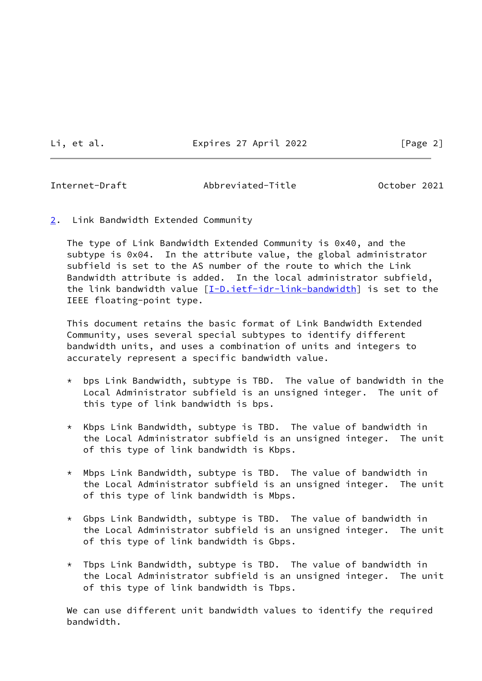Li, et al. Expires 27 April 2022 [Page 2]

<span id="page-2-1"></span>

Internet-Draft Abbreviated-Title October 2021

<span id="page-2-0"></span>[2](#page-2-0). Link Bandwidth Extended Community

 The type of Link Bandwidth Extended Community is 0x40, and the subtype is 0x04. In the attribute value, the global administrator subfield is set to the AS number of the route to which the Link Bandwidth attribute is added. In the local administrator subfield, the link bandwidth value [\[I-D.ietf-idr-link-bandwidth](#page-0-0)] is set to the IEEE floating-point type.

 This document retains the basic format of Link Bandwidth Extended Community, uses several special subtypes to identify different bandwidth units, and uses a combination of units and integers to accurately represent a specific bandwidth value.

- \* bps Link Bandwidth, subtype is TBD. The value of bandwidth in the Local Administrator subfield is an unsigned integer. The unit of this type of link bandwidth is bps.
- \* Kbps Link Bandwidth, subtype is TBD. The value of bandwidth in the Local Administrator subfield is an unsigned integer. The unit of this type of link bandwidth is Kbps.
- \* Mbps Link Bandwidth, subtype is TBD. The value of bandwidth in the Local Administrator subfield is an unsigned integer. The unit of this type of link bandwidth is Mbps.
- \* Gbps Link Bandwidth, subtype is TBD. The value of bandwidth in the Local Administrator subfield is an unsigned integer. The unit of this type of link bandwidth is Gbps.
- \* Tbps Link Bandwidth, subtype is TBD. The value of bandwidth in the Local Administrator subfield is an unsigned integer. The unit of this type of link bandwidth is Tbps.

 We can use different unit bandwidth values to identify the required bandwidth.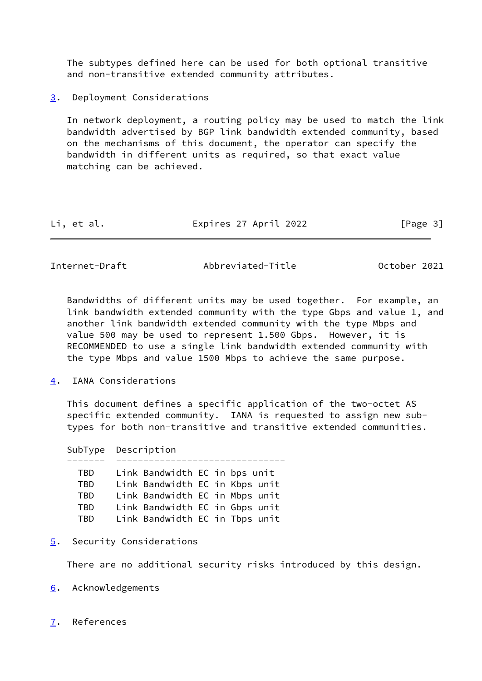The subtypes defined here can be used for both optional transitive and non-transitive extended community attributes.

<span id="page-3-0"></span>[3](#page-3-0). Deployment Considerations

 In network deployment, a routing policy may be used to match the link bandwidth advertised by BGP link bandwidth extended community, based on the mechanisms of this document, the operator can specify the bandwidth in different units as required, so that exact value matching can be achieved.

| Li, et al. | Expires 27 April 2022 | [Page 3] |
|------------|-----------------------|----------|
|------------|-----------------------|----------|

<span id="page-3-2"></span>Internet-Draft Abbreviated-Title October 2021

 Bandwidths of different units may be used together. For example, an link bandwidth extended community with the type Gbps and value 1, and another link bandwidth extended community with the type Mbps and value 500 may be used to represent 1.500 Gbps. However, it is RECOMMENDED to use a single link bandwidth extended community with the type Mbps and value 1500 Mbps to achieve the same purpose.

<span id="page-3-1"></span>[4](#page-3-1). IANA Considerations

 This document defines a specific application of the two-octet AS specific extended community. IANA is requested to assign new sub types for both non-transitive and transitive extended communities.

 SubType Description ------- ------------------------------- TBD Link Bandwidth EC in bps unit TBD Link Bandwidth EC in Kbps unit TBD Link Bandwidth EC in Mbps unit TBD Link Bandwidth EC in Gbps unit TBD Link Bandwidth EC in Tbps unit

<span id="page-3-3"></span>[5](#page-3-3). Security Considerations

There are no additional security risks introduced by this design.

- <span id="page-3-4"></span>[6](#page-3-4). Acknowledgements
- <span id="page-3-5"></span>[7](#page-3-5). References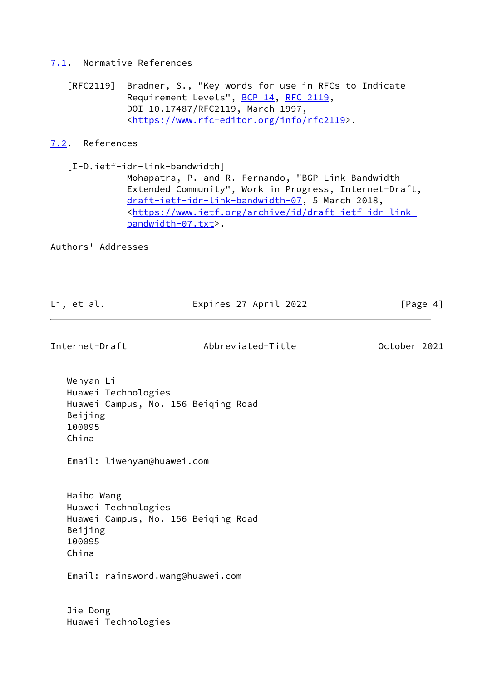# <span id="page-4-0"></span>[7.1](#page-4-0). Normative References

 [RFC2119] Bradner, S., "Key words for use in RFCs to Indicate Requirement Levels", [BCP 14](https://datatracker.ietf.org/doc/pdf/bcp14), [RFC 2119](https://datatracker.ietf.org/doc/pdf/rfc2119), DOI 10.17487/RFC2119, March 1997, <[https://www.rfc-editor.org/info/rfc2119>](https://www.rfc-editor.org/info/rfc2119).

# <span id="page-4-1"></span>[7.2](#page-4-1). References

 [I-D.ietf-idr-link-bandwidth] Mohapatra, P. and R. Fernando, "BGP Link Bandwidth Extended Community", Work in Progress, Internet-Draft, [draft-ietf-idr-link-bandwidth-07,](https://datatracker.ietf.org/doc/pdf/draft-ietf-idr-link-bandwidth-07) 5 March 2018, <[https://www.ietf.org/archive/id/draft-ietf-idr-link](https://www.ietf.org/archive/id/draft-ietf-idr-link-bandwidth-07.txt) [bandwidth-07.txt>](https://www.ietf.org/archive/id/draft-ietf-idr-link-bandwidth-07.txt).

Authors' Addresses

| Li, et al. | Expires 27 April 2022 | [Page 4] |
|------------|-----------------------|----------|
|            |                       |          |

Internet-Draft Abbreviated-Title October 2021

 Wenyan Li Huawei Technologies Huawei Campus, No. 156 Beiqing Road Beijing 100095 China

Email: liwenyan@huawei.com

 Haibo Wang Huawei Technologies Huawei Campus, No. 156 Beiqing Road Beijing 100095 China

Email: rainsword.wang@huawei.com

 Jie Dong Huawei Technologies